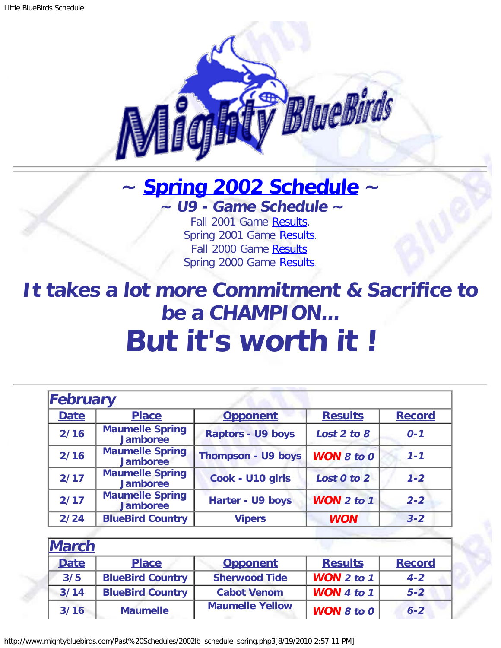

## <span id="page-0-1"></span>**~ [Spring 2002 Schedule](#page-0-0) ~ ~ U9 - Game Schedule ~**

Fall 2001 Game [Results.](http://www.mightybluebirds.com/Past%20Schedules/2001lb_schedule_fall.php3) Spring 2001 Game [Results.](http://www.mightybluebirds.com/Past%20Schedules/2001lb_schedule_spring.php3) Fall 2000 Game [Results.](http://www.mightybluebirds.com/Past%20Schedules/2000lb_schedule_fall.php3) Spring 2000 Game [Results.](http://www.mightybluebirds.com/Past%20Schedules/2000lb_schedule_spring.php3)

**It takes a lot more Commitment & Sacrifice to be a CHAMPION... But it's worth it !**

<span id="page-0-0"></span>

| <b>February</b> |                                           |                           |                   |               |
|-----------------|-------------------------------------------|---------------------------|-------------------|---------------|
| <b>Date</b>     | <b>Place</b>                              | <b>Opponent</b>           | <b>Results</b>    | <b>Record</b> |
| 2/16            | <b>Maumelle Spring</b><br><b>Jamboree</b> | <b>Raptors - U9 boys</b>  | Lost 2 to 8       | $0 - 1$       |
| 2/16            | <b>Maumelle Spring</b><br><b>Jamboree</b> | <b>Thompson - U9 boys</b> | <b>WON 8 to 0</b> | $1 - 1$       |
| 2/17            | <b>Maumelle Spring</b><br><b>Jamboree</b> | Cook - U10 girls          | Lost 0 to 2       | $1 - 2$       |
| 2/17            | <b>Maumelle Spring</b><br><b>Jamboree</b> | Harter - U9 boys          | <b>WON 2 to 1</b> | $2 - 2$       |
| 2/24            | <b>BlueBird Country</b>                   | <b>Vipers</b>             | <b>WON</b>        | $3 - 2$       |

| <b>March</b> |                         |                        |                   |               |
|--------------|-------------------------|------------------------|-------------------|---------------|
| <b>Date</b>  | <b>Place</b>            | <b>Opponent</b>        | <b>Results</b>    | <b>Record</b> |
| 3/5          | <b>BlueBird Country</b> | <b>Sherwood Tide</b>   | WON $2$ to $1$    | $4 - 2$       |
| 3/14         | <b>BlueBird Country</b> | <b>Cabot Venom</b>     | WON 4 to 1        | $5 - 2$       |
| 3/16         | <b>Maumelle</b>         | <b>Maumelle Yellow</b> | <b>WON 8 to 0</b> | $6 - 2$       |

http://www.mightybluebirds.com/Past%20Schedules/2002lb\_schedule\_spring.php3[8/19/2010 2:57:11 PM]